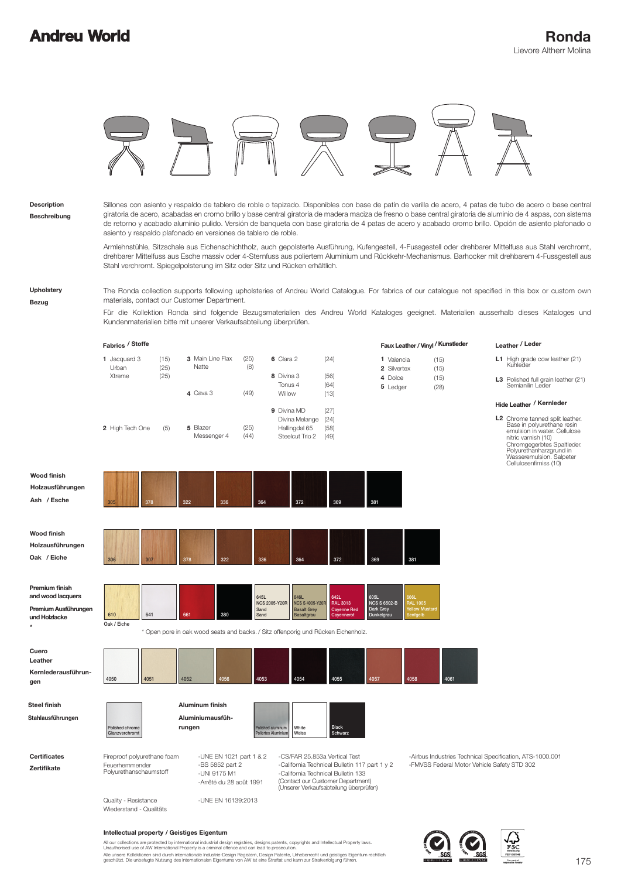

**Beschreibung Description**

Sillones con asiento y respaldo de tablero de roble o tapizado. Disponibles con base de patín de varilla de acero, 4 patas de tubo de acero o base central giratoria de acero, acabadas en cromo brillo y base central giratoria de madera maciza de fresno o base central giratoria de aluminio de 4 aspas, con sistema de retorno y acabado aluminio pulido. Versión de banqueta con base giratoria de 4 patas de acero y acabado cromo brillo. Opción de asiento plafonado o asiento y respaldo plafonado en versiones de tablero de roble.

Armlehnstühle, Sitzschale aus Eichenschichtholz, auch gepolsterte Ausführung, Kufengestell, 4-Fussgestell oder drehbarer Mittelfuss aus Stahl verchromt, drehbarer Mittelfuss aus Esche massiv oder 4-Sternfuss aus poliertem Aluminium und Rückkehr-Mechanismus. Barhocker mit drehbarem 4-Fussgestell aus Stahl verchromt. Spiegelpolsterung im Sitz oder Sitz und Rücken erhältlich.

**Upholstery**

**Bezug**

The Ronda collection supports following upholsteries of Andreu World Catalogue. For fabrics of our catalogue not specified in this box or custom own materials, contact our Customer Department.

Für die Kollektion Ronda sind folgende Bezugsmaterialien des Andreu World Kataloges geeignet. Materialien ausserhalb dieses Kataloges und Kundenmaterialien bitte mit unserer Verkaufsabteilung überprüfen.

|                                                                                         | Fabrics / Stoffe                                                        |                      |                                                                                       |                      |                                                                                                                                                                                 |                                                                                                                                                                    |                                                        | Faux Leather / Vinyl / Kunstleder                                  | Leather / Leder                                                                                                                                                                                                                     |
|-----------------------------------------------------------------------------------------|-------------------------------------------------------------------------|----------------------|---------------------------------------------------------------------------------------|----------------------|---------------------------------------------------------------------------------------------------------------------------------------------------------------------------------|--------------------------------------------------------------------------------------------------------------------------------------------------------------------|--------------------------------------------------------|--------------------------------------------------------------------|-------------------------------------------------------------------------------------------------------------------------------------------------------------------------------------------------------------------------------------|
|                                                                                         | 1 Jacquard 3<br>Urban<br>Xtreme                                         | (15)<br>(25)<br>(25) | 3 Main Line Flax<br>Natte                                                             | (25)<br>(8)          | 6 Clara 2<br>8 Divina 3<br>Tonus 4                                                                                                                                              | (24)<br>(56)<br>(64)                                                                                                                                               | 1 Valencia<br>2 Silvertex<br>4 Dolce                   | (15)<br>(15)<br>(15)                                               | L1 High grade cow leather (21)<br>Kuhleder<br>L3 Polished full grain leather (21)<br>Semianilin Leder                                                                                                                               |
|                                                                                         |                                                                         |                      | 4 Cava 3                                                                              | (49)                 | Willow<br>9 Divina MD                                                                                                                                                           | (13)                                                                                                                                                               | 5 Ledger                                               | (28)                                                               | Hide Leather / Kernleder                                                                                                                                                                                                            |
|                                                                                         | 2 High Tech One                                                         | (5)                  | 5 Blazer<br>Messenger 4                                                               | (25)<br>(44)         | Divina Melange<br>Hallingdal 65<br>Steelcut Trio 2                                                                                                                              | (27)<br>(24)<br>(58)<br>(49)                                                                                                                                       |                                                        |                                                                    | L2 Chrome tanned split leather.<br>Base in polyurethane resin<br>emulsion in water. Cellulose<br>nitric varnish (10)<br>Chromgegerbtes Spaltleder.<br>Polyurethanharzgrund in<br>Wasseremulsion. Salpeter<br>Cellulosenfirniss (10) |
| <b>Wood finish</b><br>Holzausführungen<br>Ash / Esche                                   | 378<br>305                                                              | 322                  | 336                                                                                   | 364                  | 372                                                                                                                                                                             | 369                                                                                                                                                                | 381                                                    |                                                                    |                                                                                                                                                                                                                                     |
| <b>Wood finish</b><br>Holzausführungen<br>Oak / Eiche                                   | 306<br>307                                                              | 378                  | 322                                                                                   | 336                  | 364                                                                                                                                                                             | 372                                                                                                                                                                | 369                                                    | 381                                                                |                                                                                                                                                                                                                                     |
| Premium finish<br>and wood lacquers<br>Premium Ausführungen<br>und Holzlacke<br>$\star$ | 610<br>641<br>Oak / Eiche                                               | 661                  | 380                                                                                   | 645L<br>Sand<br>Sand | 646L<br><b>NCS 2005-Y20R</b><br><b>NCS S 4005-Y20R</b><br><b>Basalt Grey</b><br>Basaltgrau<br>* Open pore in oak wood seats and backs. / Sitz offenporig und Rücken Eichenholz. | 642L<br><b>RAL 3013</b><br><b>Cayenne Red</b><br>Cayennerot                                                                                                        | 605L<br><b>NCS S 6502-B</b><br>Dark Grey<br>Dunkelgrau | <b>SORI</b><br><b>RAL 1005</b><br><b>Fellow Mustard</b><br>enfgelb |                                                                                                                                                                                                                                     |
| Cuero<br>Leather<br>Kernlederausführun-<br>gen                                          | 4050<br>4051                                                            | 4052                 | 4056                                                                                  | 4053                 | 4054                                                                                                                                                                            | 4055                                                                                                                                                               | 4057                                                   | 4058<br>4061                                                       |                                                                                                                                                                                                                                     |
| <b>Steel finish</b><br>Stahlausführungen                                                | Polished chrome<br>Glanzverchromt                                       | rungen               | <b>Aluminum finish</b><br>Aluminiumausfüh-                                            |                      | Polished aluminum<br>White<br><b>Poliertes Aluminium</b><br>Weiss                                                                                                               | <b>Black</b><br>Schwarz                                                                                                                                            |                                                        |                                                                    |                                                                                                                                                                                                                                     |
| <b>Certificates</b><br>Zertifikate                                                      | Fireproof polyurethane foam<br>Feuerhemmender<br>Polyurethanschaumstoff |                      | -UNE EN 1021 part 1 & 2<br>-BS 5852 part 2<br>-UNI 9175 M1<br>-Arrêté du 28 août 1991 |                      | -CS/FAR 25.853a Vertical Test                                                                                                                                                   | -California Technical Bulletin 117 part 1 y 2<br>-California Technical Bulletin 133<br>(Contact our Customer Department)<br>(Unserer Verkaufsabteilung überprüfen) |                                                        |                                                                    | -Airbus Industries Technical Specification, ATS-1000.001<br>-FMVSS Federal Motor Vehicle Safety STD 302                                                                                                                             |
|                                                                                         | Quality - Resistance                                                    |                      | -UNE FN 16139:2013                                                                    |                      |                                                                                                                                                                                 |                                                                                                                                                                    |                                                        |                                                                    |                                                                                                                                                                                                                                     |

### Wiederstand - Qualitäts

-UNE EN 16139:2013

#### **Intellectual property / Geistiges Eigentum**

Alle unsere Kollektionen sind durch internationale Industrie-Design Registern, Design Patente, Urheberrecht und geistiges Eigentum rechtlich<br>geschützt. Die unbefugte Nutzung des internationalen Eigentums von AW ist eine St All our collections are protected by international industrial design registries, designs patents, copyrights and Intellectual Property laws.<br>Unauthorised use of AW International Property is a criminal offence and can lead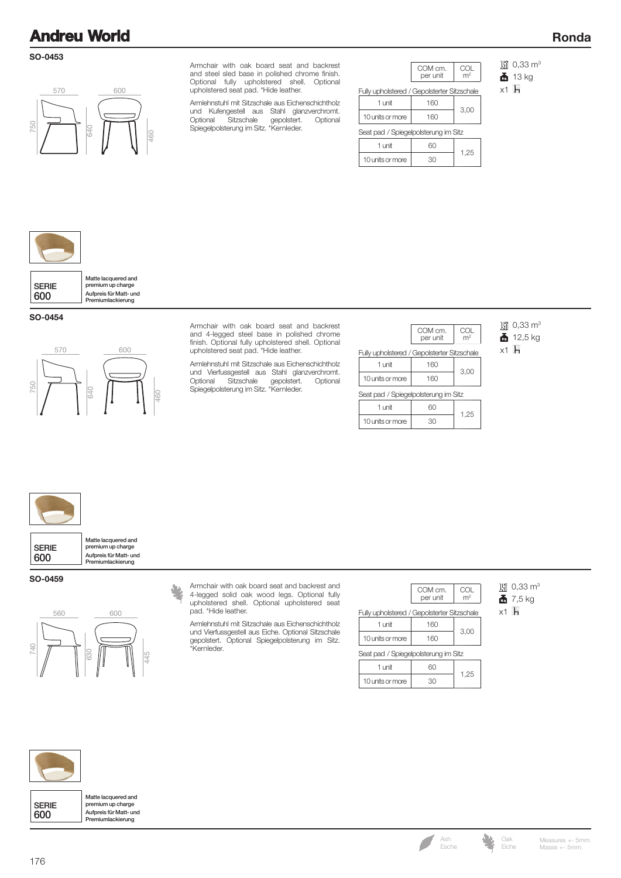### **SO-0453**



Armchair with oak board seat and backrest and steel sled base in polished chrome finish. Optional fully upholstered shell. Optional upholstered seat pad. \*Hide leather.

Armlehnstuhl mit Sitzschale aus Eichenschichtholz und Kufengestell aus Stahl glanzverchromt. Optional Sitzschale gepolstert. Optional Spiegelpolsterung im Sitz. \*Kernleder.

|                                             | COM cm.<br>per unit | m <sup>2</sup> |  |  |
|---------------------------------------------|---------------------|----------------|--|--|
| Fully upholstered / Gepolsterter Sitzschale |                     |                |  |  |
| $1$ unit                                    | 160                 |                |  |  |
| 10 units or more                            | 160                 | 3,00           |  |  |
| Seat pad / Spiegelpolsterung im Sitz        |                     |                |  |  |
| $1$ unit                                    | 60                  |                |  |  |
| 10 units or more                            | 30                  | 1,25           |  |  |

圖 0,33 m<sup>3</sup>

**Ronda**

 $\frac{1}{2}$  13 kg

 $x1$   $\overline{h}$ 

| Matte lacquered and<br>premium up charge<br>Aufpreis für Matt- und<br>Premiumlackierung |
|-----------------------------------------------------------------------------------------|
|                                                                                         |

**SO-0454**



Armchair with oak board seat and backrest and 4-legged steel base in polished chrome finish. Optional fully upholstered shell. Optional upholstered seat pad. \*Hide leather.

Armlehnstuhl mit Sitzschale aus Eichenschichtholz und Vierfussgestell aus Stahl glanzverchromt. Optional Sitzschale gepolstert. Optional Spiegelpolsterung im Sitz. \*Kernleder.

|                                             | COM cm.<br>per unit | COL<br>m <sup>2</sup> |  |  |
|---------------------------------------------|---------------------|-----------------------|--|--|
| Fully upholstered / Gepolsterter Sitzschale |                     |                       |  |  |
| 1 unit                                      | 160                 |                       |  |  |
| 10 units or more                            | 160                 | 3,00                  |  |  |
| Seat pad / Spiegelpolsterung im Sitz        |                     |                       |  |  |
| 1 unit                                      | 60                  | 1,25                  |  |  |
| 10 units or more                            | 30                  |                       |  |  |

圖 0,33 m<sup>3</sup>  $\frac{1}{2}$  12,5 kg

 $x1$   $h$ 

SERIE 600 Aufpreis für Matt- und Premiumlackierung Matte lacquered and premium up charge

#### **SO-0459**



Armchair with oak board seat and backrest and 4-legged solid oak wood legs. Optional fully upholstered shell. Optional upholstered seat pad. \*Hide leather.

Armlehnstuhl mit Sitzschale aus Eichenschichtholz und Vierfussgestell aus Eiche. Optional Sitzschale gepolstert. Optional Spiegelpolsterung im Sitz. \*Kernleder.

| COM cm.  | $\cap$         |
|----------|----------------|
| per unit | m <sup>2</sup> |

3,00

1 unit 160 / Gepolsterter Sitzschale Fully uphols

| 10 units or more                     | 160 |      |
|--------------------------------------|-----|------|
| Seat pad / Spiegelpolsterung im Sitz |     |      |
| 1 unit                               | ണ   | 1.25 |
| 10 units or more                     | 30) |      |

圖 0,33 m<sup>3</sup>  $\frac{1}{2}$  7,5 kg

 $x1$   $\overline{h}$ 

SERIE

Aufpreis für Matt- und Premiumlackierung Matte lacquered and premium up charge



600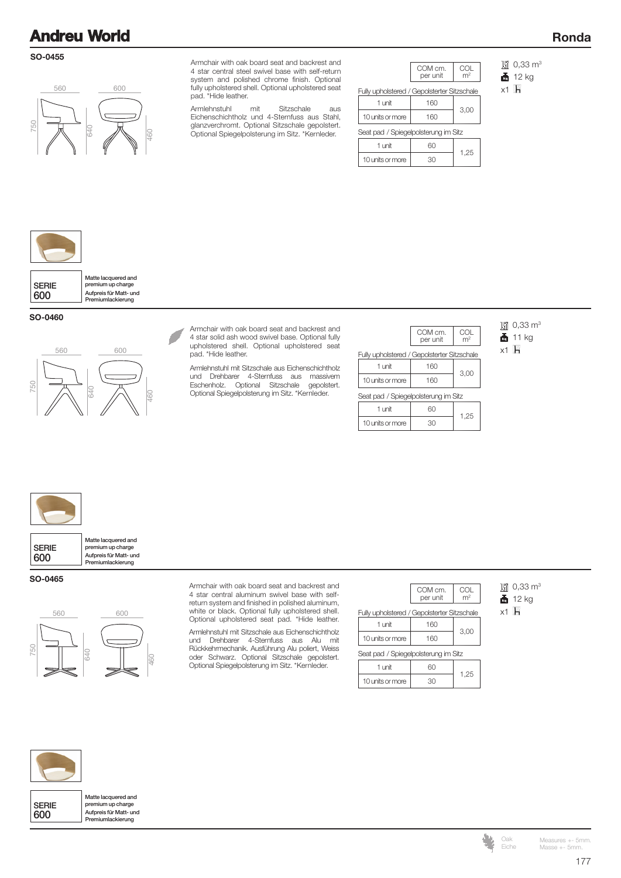#### **SO-0455**



Armchair with oak board seat and backrest and 4 star central steel swivel base with self-return system and polished chrome finish. Optional fully upholstered shell. Optional upholstered seat pad. \*Hide leather.

Armlehnstuhl mit Sitzschale aus Eichenschichtholz und 4-Sternfuss aus Stahl, glanzverchromt. Optional Sitzschale gepolstert. Optional Spiegelpolsterung im Sitz. \*Kernleder.

| COM cm.<br>per unit                         | COL<br>m <sup>2</sup> |  |  |  |
|---------------------------------------------|-----------------------|--|--|--|
| Fully upholstered / Gepolsterter Sitzschale |                       |  |  |  |
| 160                                         |                       |  |  |  |
| 160                                         | 3,00                  |  |  |  |
| Seat pad / Spiegelpolsterung im Sitz        |                       |  |  |  |
| 60                                          |                       |  |  |  |
| 30                                          | 1,25                  |  |  |  |
|                                             |                       |  |  |  |

圖 0,33 m<sup>3</sup>

**Ronda**

 $12 kg$ 

 $x1$  H



SERIE 600 Aufpreis für Matt- und Premiumlackierung Matte lacquered and premium up charge

**SO-0460**



Armchair with oak board seat and backrest and 4 star solid ash wood swivel base. Optional fully upholstered shell. Optional upholstered seat pad. \*Hide leather.

Armlehnstuhl mit Sitzschale aus Eichenschichtholz und Drehbarer 4-Sternfuss aus massivem Eschenholz. Optional Sitzschale gepolstert. Optional Spiegelpolsterung im Sitz. \*Kernleder.

| COM cm.<br>per unit                         | COL<br>m <sup>2</sup> |  |  |  |
|---------------------------------------------|-----------------------|--|--|--|
| Fully upholstered / Gepolsterter Sitzschale |                       |  |  |  |
| 160                                         |                       |  |  |  |
| 160                                         | 3,00                  |  |  |  |
| Seat pad / Spiegelpolsterung im Sitz        |                       |  |  |  |
| 61                                          | 1,25                  |  |  |  |
| 30                                          |                       |  |  |  |
|                                             |                       |  |  |  |

圖 0,33 m<sup>3</sup>  $\frac{1}{11}$  11 kg

 $x1$   $h$ 



SERIE 600 Aufpreis für Matt- und Premiumlackierung Matte lacquered and premium up charge

### **SO-0465**



Armchair with oak board seat and backrest and 4 star central aluminum swivel base with selfreturn system and finished in polished aluminum, white or black. Optional fully upholstered shell. Optional upholstered seat pad. \*Hide leather.

Armlehnstuhl mit Sitzschale aus Eichenschichtholz und Drehbarer 4-Sternfuss aus Alu mit Rückkehrmechanik. Ausführung Alu poliert, Weiss oder Schwarz. Optional Sitzschale gepolstert. Optional Spiegelpolsterung im Sitz. \*Kernleder.

|                                             | COM cm.<br>per unit | COL  |  |  |  |
|---------------------------------------------|---------------------|------|--|--|--|
| Fully upholstered / Gepolsterter Sitzschale |                     |      |  |  |  |
| 1 unit                                      | 160                 |      |  |  |  |
| 10 units or more                            |                     | 3,00 |  |  |  |

Seat pad / Spiegelpolsterung im Sitz

| unit             |  |
|------------------|--|
| 10 units or more |  |
|                  |  |

圖 0,33 m<sup>3</sup>

 $\frac{1}{2}$  12 kg  $x1$   $h$ 

SERIE 600



Masse +- 5mm. Measures +- 5mm.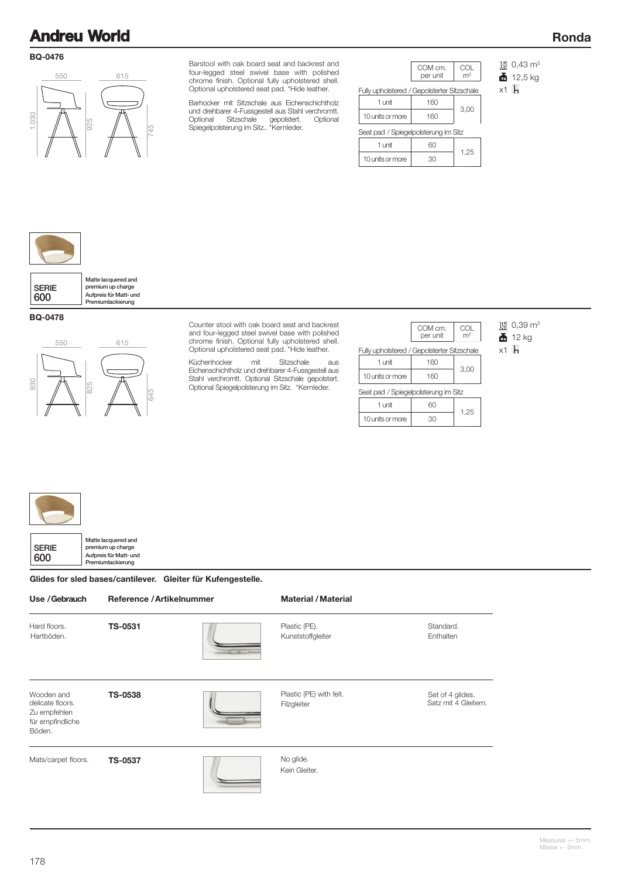### **BQ-0476**



Barstool with oak board seat and backrest and four-legged steel swivel base with polished chrome finish. Optional fully upholstered shell. Optional upholstered seat pad. \*Hide leather.

Barhocker mit Sitzschale aus Eichenschichtholz und drehbarer 4-Fussgestell aus Stahl verchromtt.<br>Optional Sitzschale gepolstert. Optional Optional Sitzschale gepolstert. Optional Spiegelpolsterung im Sitz.. \*Kernleder.

| COM cm.<br>COL                              |  |  |  |  |
|---------------------------------------------|--|--|--|--|
| m <sup>2</sup>                              |  |  |  |  |
| Fully upholstered / Gepolsterter Sitzschale |  |  |  |  |
|                                             |  |  |  |  |
| 3,00                                        |  |  |  |  |
| Seat pad / Spiegelpolsterung im Sitz        |  |  |  |  |
|                                             |  |  |  |  |
| 1,25                                        |  |  |  |  |
|                                             |  |  |  |  |

**淵 0,43 m<sup>3</sup>** 

**Ronda**

 $12,5$  kg

x1 H



### **BQ-0478**



Counter stool with oak board seat and backrest and four-legged steel swivel base with polished chrome finish. Optional fully upholstered shell. Optional upholstered seat pad. \*Hide leather.

Küchenhocker mit Sitzschale aus Eichenschichtholz und drehbarer 4-Fussgestell aus Stahl verchromtt. Optional Sitzschale gepolstert. Optional Spiegelpolsterung im Sitz. \*Kernleder.

|                                             | COM cm.<br>per unit | COL<br>m <sup>2</sup> |  |  |
|---------------------------------------------|---------------------|-----------------------|--|--|
| Fully upholstered / Gepolsterter Sitzschale |                     |                       |  |  |
| 1 unit                                      | 160                 | 3,00                  |  |  |
| 10 units or more                            | 160                 |                       |  |  |

1,25

1 unit 60

10 units or more 30

圖 0,39 m<sup>3</sup>  $12 kg$ 

x1 H

 $\Gamma$  $\sim$ 

| <b>SERIE</b> | Matte lacquered and<br>premium up charge    |
|--------------|---------------------------------------------|
| 600          | Aufpreis für Matt- und<br>Premiumlackierung |

┑

Glides for sled bases/cantilever. Gleiter für Kufengestelle.

| Use / Gebrauch                                                               | Reference / Artikelnummer |  | <b>Material / Material</b>             |                                          |
|------------------------------------------------------------------------------|---------------------------|--|----------------------------------------|------------------------------------------|
| Hard floors.<br>Hartböden.                                                   | <b>TS-0531</b>            |  | Plastic (PE).<br>Kunststoffgleiter     | Standard.<br>Enthalten                   |
| Wooden and<br>delicate floors.<br>Zu empfehlen<br>für empfindliche<br>Böden. | <b>TS-0538</b>            |  | Plastic (PE) with felt.<br>Filzgleiter | Set of 4 glides.<br>Satz mit 4 Gleitern. |
| Mats/carpet floors.                                                          | <b>TS-0537</b>            |  | No glide.<br>Kein Gleiter.             |                                          |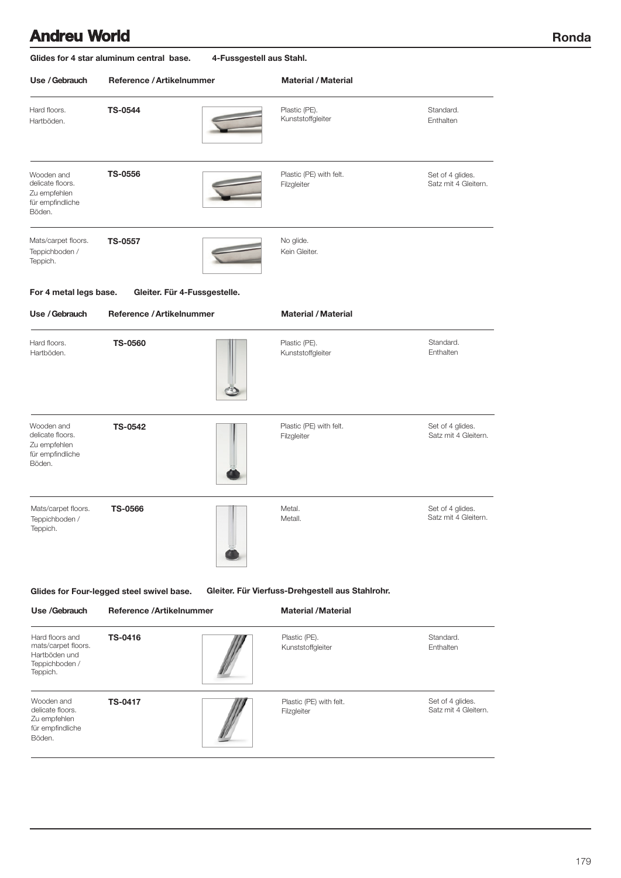**Ronda**

| Glides for 4 star aluminum central base.<br>4-Fussgestell aus Stahl. |                                                                     |                                                                                       |                                                  |  |  |  |
|----------------------------------------------------------------------|---------------------------------------------------------------------|---------------------------------------------------------------------------------------|--------------------------------------------------|--|--|--|
| Reference / Artikelnummer                                            |                                                                     | <b>Material / Material</b>                                                            |                                                  |  |  |  |
| <b>TS-0544</b>                                                       |                                                                     | Plastic (PE).<br>Kunststoffgleiter                                                    | Standard.<br>Enthalten                           |  |  |  |
| <b>TS-0556</b>                                                       |                                                                     | Plastic (PE) with felt.<br>Filzgleiter                                                | Set of 4 glides.<br>Satz mit 4 Gleitern.         |  |  |  |
| <b>TS-0557</b>                                                       |                                                                     | No glide.<br>Kein Gleiter.                                                            |                                                  |  |  |  |
|                                                                      |                                                                     |                                                                                       |                                                  |  |  |  |
|                                                                      |                                                                     | <b>Material / Material</b>                                                            |                                                  |  |  |  |
| <b>TS-0560</b>                                                       |                                                                     | Plastic (PE).<br>Kunststoffgleiter                                                    | Standard.<br>Enthalten                           |  |  |  |
| <b>TS-0542</b>                                                       |                                                                     | Plastic (PE) with felt.<br>Filzgleiter                                                | Set of 4 glides.<br>Satz mit 4 Gleitern.         |  |  |  |
| <b>TS-0566</b>                                                       |                                                                     | Metal.<br>Metall.                                                                     | Set of 4 glides.<br>Satz mit 4 Gleitern.         |  |  |  |
|                                                                      |                                                                     |                                                                                       |                                                  |  |  |  |
|                                                                      |                                                                     | <b>Material / Material</b>                                                            |                                                  |  |  |  |
| <b>TS-0416</b>                                                       |                                                                     | Plastic (PE).<br>Kunststoffgleiter                                                    | Standard.<br>Enthalten                           |  |  |  |
| <b>TS-0417</b>                                                       |                                                                     | Plastic (PE) with felt.<br>Filzgleiter                                                | Set of 4 glides.<br>Satz mit 4 Gleitern.         |  |  |  |
|                                                                      | For 4 metal legs base.<br>Glides for Four-legged steel swivel base. | Gleiter. Für 4-Fussgestelle.<br>Reference / Artikelnummer<br>Reference /Artikelnummer | Gleiter. Für Vierfuss-Drehgestell aus Stahlrohr. |  |  |  |